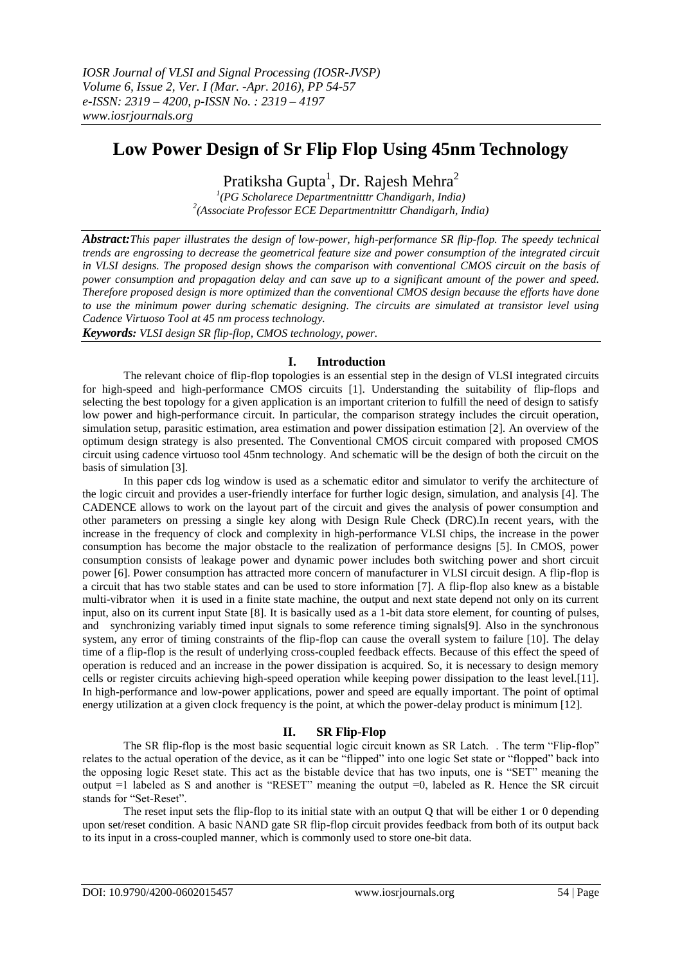# **Low Power Design of Sr Flip Flop Using 45nm Technology**

Pratiksha Gupta $^{\rm l}$ , Dr. Rajesh Mehra $^{\rm 2}$ 

*1 (PG Scholarece Departmentnitttr Chandigarh, India) 2 (Associate Professor ECE Departmentnitttr Chandigarh, India)*

*Abstract:This paper illustrates the design of low-power, high-performance SR flip-flop. The speedy technical trends are engrossing to decrease the geometrical feature size and power consumption of the integrated circuit in VLSI designs. The proposed design shows the comparison with conventional CMOS circuit on the basis of power consumption and propagation delay and can save up to a significant amount of the power and speed. Therefore proposed design is more optimized than the conventional CMOS design because the efforts have done to use the minimum power during schematic designing. The circuits are simulated at transistor level using Cadence Virtuoso Tool at 45 nm process technology.*

*Keywords: VLSI design SR flip-flop, CMOS technology, power.*

# **I. Introduction**

The relevant choice of flip-flop topologies is an essential step in the design of VLSI integrated circuits for high-speed and high-performance CMOS circuits [1]. Understanding the suitability of flip-flops and selecting the best topology for a given application is an important criterion to fulfill the need of design to satisfy low power and high-performance circuit. In particular, the comparison strategy includes the circuit operation, simulation setup, parasitic estimation, area estimation and power dissipation estimation [2]. An overview of the optimum design strategy is also presented. The Conventional CMOS circuit compared with proposed CMOS circuit using cadence virtuoso tool 45nm technology. And schematic will be the design of both the circuit on the basis of simulation [3].

In this paper cds log window is used as a schematic editor and simulator to verify the architecture of the logic circuit and provides a user-friendly interface for further logic design, simulation, and analysis [4]. The CADENCE allows to work on the layout part of the circuit and gives the analysis of power consumption and other parameters on pressing a single key along with Design Rule Check (DRC).In recent years, with the increase in the frequency of clock and complexity in high-performance VLSI chips, the increase in the power consumption has become the major obstacle to the realization of performance designs [5]. In CMOS, power consumption consists of leakage power and dynamic power includes both switching power and short circuit power [6]. Power consumption has attracted more concern of manufacturer in VLSI circuit design. A flip-flop is a circuit that has two stable states and can be used to store information [7]. A flip-flop also knew as a bistable multi-vibrator when it is used in a finite state machine, the output and next state depend not only on its current input, also on its current input State [8]. It is basically used as a 1-bit data store element, for counting of pulses, and synchronizing variably timed input signals to some reference timing signals[9]. Also in the synchronous system, any error of timing constraints of the flip-flop can cause the overall system to failure [10]. The delay time of a flip-flop is the result of underlying cross-coupled feedback effects. Because of this effect the speed of operation is reduced and an increase in the power dissipation is acquired. So, it is necessary to design memory cells or register circuits achieving high-speed operation while keeping power dissipation to the least level.[11]. In high-performance and low-power applications, power and speed are equally important. The point of optimal energy utilization at a given clock frequency is the point, at which the power-delay product is minimum [12].

# **II. SR Flip-Flop**

The SR flip-flop is the most basic sequential logic circuit known as SR Latch. . The term "Flip-flop" relates to the actual operation of the device, as it can be "flipped" into one logic Set state or "flopped" back into the opposing logic Reset state. This act as the bistable device that has two inputs, one is "SET" meaning the output =1 labeled as S and another is "RESET" meaning the output =0, labeled as R. Hence the SR circuit stands for "Set-Reset".

The reset input sets the flip-flop to its initial state with an output Q that will be either 1 or 0 depending upon set/reset condition. A basic NAND gate SR flip-flop circuit provides feedback from both of its output back to its input in a cross-coupled manner, which is commonly used to store one-bit data.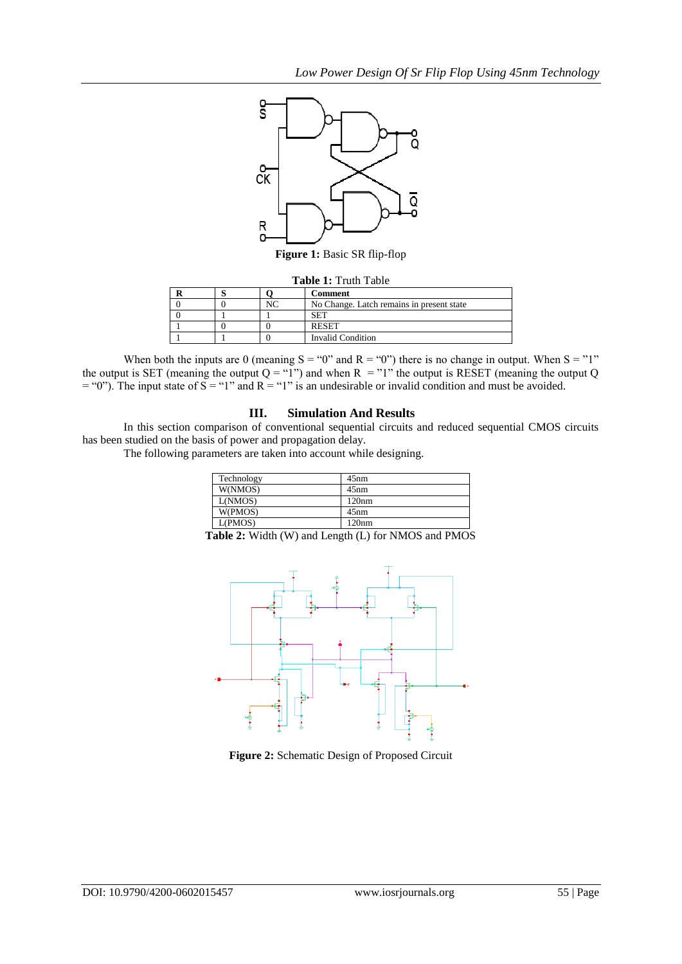*Low Power Design Of Sr Flip Flop Using 45nm Technology*



**Figure 1:** Basic SR flip-flop

#### **Table 1:** Truth Table

|  | Comment                                   |
|--|-------------------------------------------|
|  | No Change. Latch remains in present state |
|  |                                           |
|  | <b>RESET</b>                              |
|  | <b>Invalid Condition</b>                  |

When both the inputs are 0 (meaning  $S = "0"$  and  $R = "0")$  there is no change in output. When  $S = "1"$ the output is SET (meaning the output  $Q = "1"$ ) and when  $R = "1"$  the output is RESET (meaning the output Q  $=$  "0"). The input state of S = "1" and R = "1" is an undesirable or invalid condition and must be avoided.

## **III. Simulation And Results**

In this section comparison of conventional sequential circuits and reduced sequential CMOS circuits has been studied on the basis of power and propagation delay.

The following parameters are taken into account while designing.

| Technology | 45nm  |
|------------|-------|
| W(NMOS)    | 45nm  |
| L(NMOS)    | 120nm |
| W(PMOS)    | 45nm  |
| L(PMOS)    | 120nm |

**Table 2:** Width (W) and Length (L) for NMOS and PMOS



**Figure 2:** Schematic Design of Proposed Circuit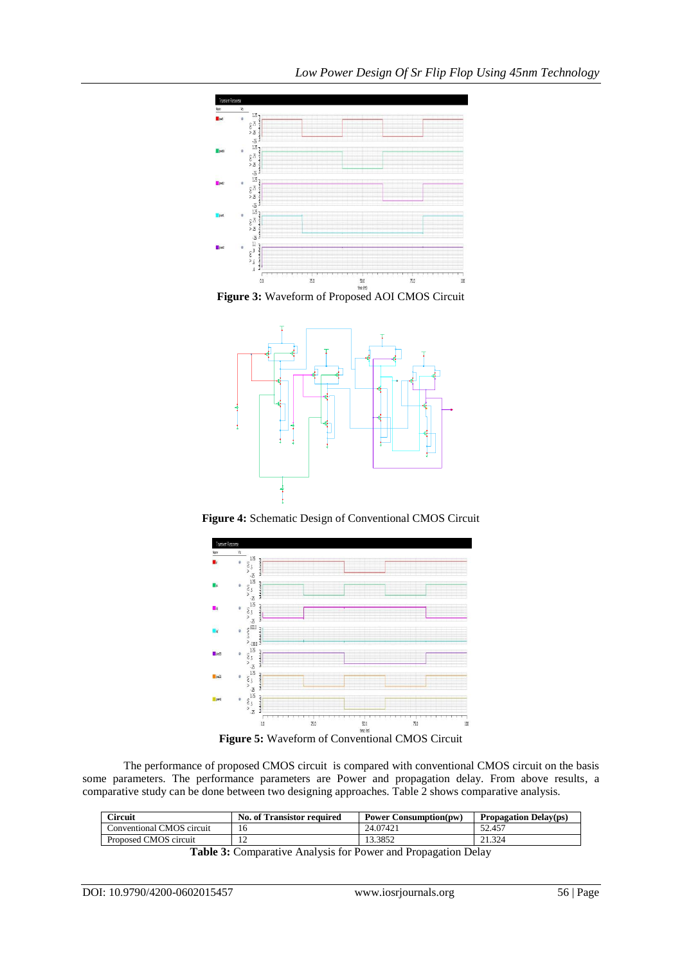

**Figure 3:** Waveform of Proposed AOI CMOS Circuit



**Figure 4:** Schematic Design of Conventional CMOS Circuit



**Figure 5:** Waveform of Conventional CMOS Circuit

The performance of proposed CMOS circuit is compared with conventional CMOS circuit on the basis some parameters. The performance parameters are Power and propagation delay. From above results, a comparative study can be done between two designing approaches. Table 2 shows comparative analysis.

| Circuit                   | <b>No. of Transistor required</b> | <b>Power Consumption(pw)</b> | <b>Propagation Delay(ps)</b> |
|---------------------------|-----------------------------------|------------------------------|------------------------------|
| Conventional CMOS circuit | 16                                | 24.07421                     | 52.457                       |
| Proposed CMOS circuit     |                                   | 13.3852                      | 21.324                       |

**Table 3:** Comparative Analysis for Power and Propagation Delay